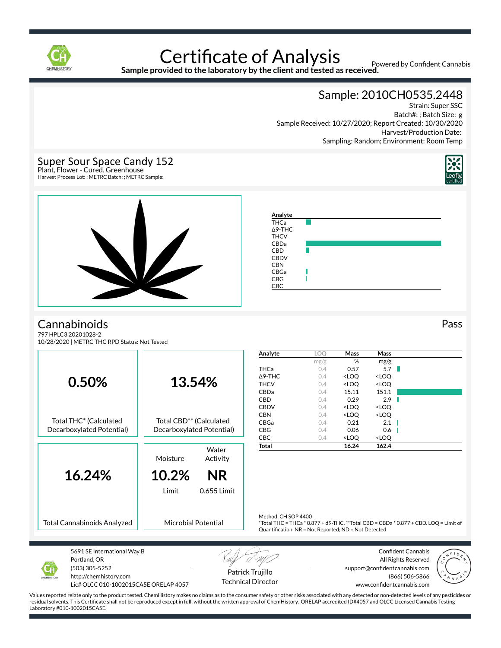

**Sample provided to the laboratory by the client and tested as received.**

Powered by Confident Cannabis

Sample: 2010CH0535.2448

Strain: Super SSC Batch#: ; Batch Size: g Sample Received: 10/27/2020; Report Created: 10/30/2020 Harvest/Production Date: Sampling: Random; Environment: Room Temp



797 HPLC3 20201028-2 10/28/2020 | METRC THC RPD Status: Not Tested

|                                    |                                     | Analyte                                              | <b>LOO</b>                                                                           | Mass                                            | Mass                |  |
|------------------------------------|-------------------------------------|------------------------------------------------------|--------------------------------------------------------------------------------------|-------------------------------------------------|---------------------|--|
|                                    |                                     |                                                      | mg/g                                                                                 | %                                               | mg/g                |  |
|                                    |                                     | <b>THCa</b>                                          | 0.4                                                                                  | 0.57                                            | 5.7                 |  |
|                                    |                                     | $\triangle$ 9-THC                                    | 0.4                                                                                  | <loq< td=""><td><loq< td=""></loq<></td></loq<> | <loq< td=""></loq<> |  |
| 0.50%                              | 13.54%                              | <b>THCV</b>                                          | 0.4                                                                                  | <loq< td=""><td><loq< td=""></loq<></td></loq<> | <loq< td=""></loq<> |  |
|                                    |                                     | CBDa                                                 | 0.4                                                                                  | 15.11                                           | 151.1               |  |
|                                    |                                     | <b>CBD</b>                                           | 0.4                                                                                  | 0.29                                            | 2.9                 |  |
|                                    |                                     | <b>CBDV</b>                                          | 0.4                                                                                  | <loq< td=""><td><loq< td=""></loq<></td></loq<> | <loq< td=""></loq<> |  |
|                                    |                                     | <b>CBN</b>                                           | 0.4                                                                                  | <loq< td=""><td><loq< td=""></loq<></td></loq<> | <loq< td=""></loq<> |  |
| Total THC* (Calculated             | Total CBD <sup>**</sup> (Calculated | CBGa                                                 | 0.4                                                                                  | 0.21                                            | 2.1                 |  |
| Decarboxylated Potential)          | Decarboxylated Potential)           | <b>CBG</b>                                           | 0.4                                                                                  | 0.06                                            | 0.6                 |  |
|                                    |                                     | <b>CBC</b>                                           | 0.4                                                                                  | <loq< td=""><td><loq< td=""></loq<></td></loq<> | <loq< td=""></loq<> |  |
|                                    |                                     | Total                                                |                                                                                      | 16.24                                           | 162.4               |  |
|                                    | Water                               |                                                      |                                                                                      |                                                 |                     |  |
|                                    | Moisture<br>Activity                |                                                      |                                                                                      |                                                 |                     |  |
|                                    |                                     |                                                      |                                                                                      |                                                 |                     |  |
| 16.24%                             | 10.2%<br><b>NR</b>                  |                                                      |                                                                                      |                                                 |                     |  |
|                                    |                                     |                                                      |                                                                                      |                                                 |                     |  |
|                                    | 0.655 Limit<br>Limit                |                                                      |                                                                                      |                                                 |                     |  |
|                                    |                                     |                                                      |                                                                                      |                                                 |                     |  |
|                                    |                                     |                                                      |                                                                                      |                                                 |                     |  |
|                                    |                                     | Method: CH SOP 4400                                  |                                                                                      |                                                 |                     |  |
| <b>Total Cannabinoids Analyzed</b> | <b>Microbial Potential</b>          |                                                      | *Total THC = THCa * 0.877 + d9-THC. **Total CBD = CBDa * 0.877 + CBD. LOQ = Limit of |                                                 |                     |  |
|                                    |                                     | Quantification; NR = Not Reported; ND = Not Detected |                                                                                      |                                                 |                     |  |
|                                    |                                     |                                                      |                                                                                      |                                                 |                     |  |
|                                    |                                     |                                                      |                                                                                      |                                                 |                     |  |



5691 SE International Way B Portland, OR (503) 305-5252 http://chemhistory.com Lic# OLCC 010-1002015CA5E ORELAP 4057

Patrick Trujillo Technical Director

Confident Cannabis All Rights Reserved support@confidentcannabis.com (866) 506-5866 www.confidentcannabis.com



Values reported relate only to the product tested. ChemHistory makes no claims as to the consumer safety or other risks associated with any detected or non-detected levels of any pesticides or residual solvents. This Certificate shall not be reproduced except in full, without the written approval of ChemHistory. ORELAP accredited ID#4057 and OLCC Licensed Cannabis Testing Laboratory #010-1002015CA5E.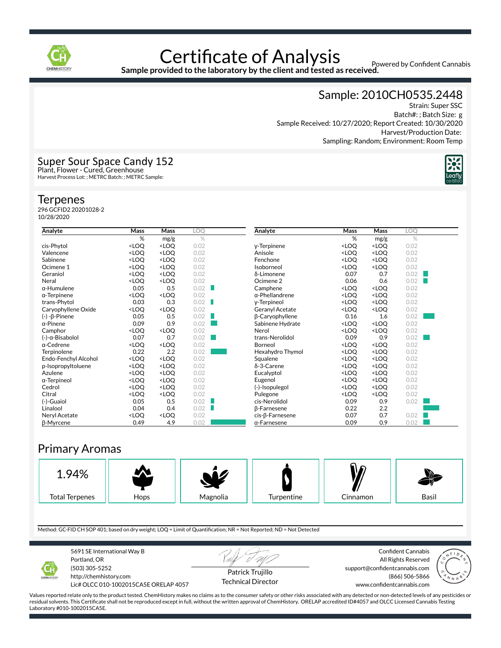

Powered by Confident Cannabis

**Sample provided to the laboratory by the client and tested as received.**

#### Sample: 2010CH0535.2448

Strain: Super SSC Batch#: ; Batch Size: g Sample Received: 10/27/2020; Report Created: 10/30/2020 Harvest/Production Date: Sampling: Random; Environment: Room Temp



### Super Sour Space Candy 152 Plant, Flower - Cured, Greenhouse

Harvest Process Lot: ; METRC Batch: ; METRC Sample:

#### **Terpenes**

296 GCFID2 20201028-2 10/28/2020

| Analyte              | Mass                                                         | Mass                             | LOQ  |
|----------------------|--------------------------------------------------------------|----------------------------------|------|
|                      | %                                                            | mg/g                             | $\%$ |
| cis-Phytol           | <loq< td=""><td><loq< td=""><td>0.02</td></loq<></td></loq<> | <loq< td=""><td>0.02</td></loq<> | 0.02 |
| Valencene            | <loq< td=""><td><loq< td=""><td>0.02</td></loq<></td></loq<> | <loq< td=""><td>0.02</td></loq<> | 0.02 |
| Sabinene             | <loq< td=""><td><loq< td=""><td>0.02</td></loq<></td></loq<> | <loq< td=""><td>0.02</td></loq<> | 0.02 |
| Ocimene 1            | <loq< td=""><td><loq< td=""><td>0.02</td></loq<></td></loq<> | <loq< td=""><td>0.02</td></loq<> | 0.02 |
| Geraniol             | <loq< td=""><td><loq< td=""><td>0.02</td></loq<></td></loq<> | <loq< td=""><td>0.02</td></loq<> | 0.02 |
| Neral                | <loq< td=""><td><loq< td=""><td>0.02</td></loq<></td></loq<> | <loq< td=""><td>0.02</td></loq<> | 0.02 |
| $\alpha$ -Humulene   | 0.05                                                         | 0.5                              | 0.02 |
| $\alpha$ -Terpinene  | <loq< td=""><td><loq< td=""><td>0.02</td></loq<></td></loq<> | <loq< td=""><td>0.02</td></loq<> | 0.02 |
| trans-Phytol         | 0.03                                                         | 0.3                              | 0.02 |
| Caryophyllene Oxide  | <loq< td=""><td><loq< td=""><td>0.02</td></loq<></td></loq<> | <loq< td=""><td>0.02</td></loq<> | 0.02 |
| (-) -β-Pinene        | 0.05                                                         | 0.5                              | 0.02 |
| $\alpha$ -Pinene     | 0.09                                                         | 0.9                              | 0.02 |
| Camphor              | <loq< td=""><td><loq< td=""><td>0.02</td></loq<></td></loq<> | <loq< td=""><td>0.02</td></loq<> | 0.02 |
| (-)-α-Bisabolol      | 0.07                                                         | 0.7                              | 0.02 |
| $\alpha$ -Cedrene    | <loq< td=""><td><loq< td=""><td>0.02</td></loq<></td></loq<> | <loq< td=""><td>0.02</td></loq<> | 0.02 |
| Terpinolene          | 0.22                                                         | 2.2                              | 0.02 |
| Endo-Fenchyl Alcohol | <loq< td=""><td><loq< td=""><td>0.02</td></loq<></td></loq<> | <loq< td=""><td>0.02</td></loq<> | 0.02 |
| p-Isopropyltoluene   | <loq< td=""><td><loq< td=""><td>0.02</td></loq<></td></loq<> | <loq< td=""><td>0.02</td></loq<> | 0.02 |
| Azulene              | <loq< td=""><td><loq< td=""><td>0.02</td></loq<></td></loq<> | <loq< td=""><td>0.02</td></loq<> | 0.02 |
| α-Terpineol          | <loq< td=""><td><loq< td=""><td>0.02</td></loq<></td></loq<> | <loq< td=""><td>0.02</td></loq<> | 0.02 |
| Cedrol               | <loq< td=""><td><loq< td=""><td>0.02</td></loq<></td></loq<> | <loq< td=""><td>0.02</td></loq<> | 0.02 |
| Citral               | <loq< td=""><td><loq< td=""><td>0.02</td></loq<></td></loq<> | <loq< td=""><td>0.02</td></loq<> | 0.02 |
| (-)-Guaiol           | 0.05                                                         | 0.5                              | 0.02 |
| Linalool             | 0.04                                                         | 0.4                              | 0.02 |
| Neryl Acetate        | <loq< td=""><td><loq< td=""><td>0.02</td></loq<></td></loq<> | <loq< td=""><td>0.02</td></loq<> | 0.02 |
| <b>B-Myrcene</b>     | 0.49                                                         | 4.9                              | 0.02 |

| Analyte                | Mass                                                                  | Mass                                      | LOQ  |  |
|------------------------|-----------------------------------------------------------------------|-------------------------------------------|------|--|
|                        | %                                                                     | mg/g                                      | %    |  |
| y-Terpinene            | <loq< td=""><td><loq< td=""><td>0.02</td><td></td></loq<></td></loq<> | <loq< td=""><td>0.02</td><td></td></loq<> | 0.02 |  |
| Anisole                | <loq< td=""><td><loq< td=""><td>0.02</td><td></td></loq<></td></loq<> | <loq< td=""><td>0.02</td><td></td></loq<> | 0.02 |  |
| Fenchone               | <loq< td=""><td><loq< td=""><td>0.02</td><td></td></loq<></td></loq<> | <loq< td=""><td>0.02</td><td></td></loq<> | 0.02 |  |
| Isoborneol             | <loq< td=""><td><loq< td=""><td>0.02</td><td></td></loq<></td></loq<> | <loq< td=""><td>0.02</td><td></td></loq<> | 0.02 |  |
| δ-Limonene             | 0.07                                                                  | 0.7                                       | 0.02 |  |
| Ocimene <sub>2</sub>   | 0.06                                                                  | 0.6                                       | 0.02 |  |
| Camphene               | <loq< td=""><td><loq< td=""><td>0.02</td><td></td></loq<></td></loq<> | <loq< td=""><td>0.02</td><td></td></loq<> | 0.02 |  |
| $\alpha$ -Phellandrene | <loq< td=""><td><loq< td=""><td>0.02</td><td></td></loq<></td></loq<> | <loq< td=""><td>0.02</td><td></td></loq<> | 0.02 |  |
| y-Terpineol            | <loq< td=""><td><loq< td=""><td>0.02</td><td></td></loq<></td></loq<> | <loq< td=""><td>0.02</td><td></td></loq<> | 0.02 |  |
| Geranyl Acetate        | <loq< td=""><td><loq< td=""><td>0.02</td><td></td></loq<></td></loq<> | <loq< td=""><td>0.02</td><td></td></loq<> | 0.02 |  |
| β-Caryophyllene        | 0.16                                                                  | 1.6                                       | 0.02 |  |
| Sabinene Hydrate       | <loq< td=""><td><loq< td=""><td>0.02</td><td></td></loq<></td></loq<> | <loq< td=""><td>0.02</td><td></td></loq<> | 0.02 |  |
| Nerol                  | <loq< td=""><td><loq< td=""><td>0.02</td><td></td></loq<></td></loq<> | <loq< td=""><td>0.02</td><td></td></loq<> | 0.02 |  |
| trans-Nerolidol        | 0.09                                                                  | 0.9                                       | 0.02 |  |
| Borneol                | <loq< td=""><td><loq< td=""><td>0.02</td><td></td></loq<></td></loq<> | <loq< td=""><td>0.02</td><td></td></loq<> | 0.02 |  |
| Hexahydro Thymol       | <loq< td=""><td><loq< td=""><td>0.02</td><td></td></loq<></td></loq<> | <loq< td=""><td>0.02</td><td></td></loq<> | 0.02 |  |
| Squalene               | <loq< td=""><td><loq< td=""><td>0.02</td><td></td></loq<></td></loq<> | <loq< td=""><td>0.02</td><td></td></loq<> | 0.02 |  |
| $\delta$ -3-Carene     | <loq< td=""><td><loq< td=""><td>0.02</td><td></td></loq<></td></loq<> | <loq< td=""><td>0.02</td><td></td></loq<> | 0.02 |  |
| Eucalyptol             | <loq< td=""><td><loq< td=""><td>0.02</td><td></td></loq<></td></loq<> | <loq< td=""><td>0.02</td><td></td></loq<> | 0.02 |  |
| Eugenol                | <loq< td=""><td><loq< td=""><td>0.02</td><td></td></loq<></td></loq<> | <loq< td=""><td>0.02</td><td></td></loq<> | 0.02 |  |
| (-)-Isopulegol         | <loq< td=""><td><loq< td=""><td>0.02</td><td></td></loq<></td></loq<> | <loq< td=""><td>0.02</td><td></td></loq<> | 0.02 |  |
| Pulegone               | <loq< td=""><td><loq< td=""><td>0.02</td><td></td></loq<></td></loq<> | <loq< td=""><td>0.02</td><td></td></loq<> | 0.02 |  |
| cis-Nerolidol          | 0.09                                                                  | 0.9                                       | 0.02 |  |
| <b>ß-Farnesene</b>     | 0.22                                                                  | 2.2                                       |      |  |
| cis-ß-Farnesene        | 0.07                                                                  | 0.7                                       | 0.02 |  |
| $\alpha$ -Farnesene    | 0.09                                                                  | 0.9                                       | 0.02 |  |

#### Primary Aromas



Method: GC-FID CH SOP 401; based on dry weight; LOQ = Limit of Quantification; NR = Not Reported; ND = Not Detected



5691 SE International Way B Portland, OR (503) 305-5252 http://chemhistory.com

Lic# OLCC 010-1002015CA5E ORELAP 4057

Patrick Trujillo

Technical Director

Confident Cannabis All Rights Reserved support@confidentcannabis.com (866) 506-5866 www.confidentcannabis.com



Values reported relate only to the product tested. ChemHistory makes no claims as to the consumer safety or other risks associated with any detected or non-detected levels of any pesticides or residual solvents. This Certificate shall not be reproduced except in full, without the written approval of ChemHistory. ORELAP accredited ID#4057 and OLCC Licensed Cannabis Testing Laboratory #010-1002015CA5E.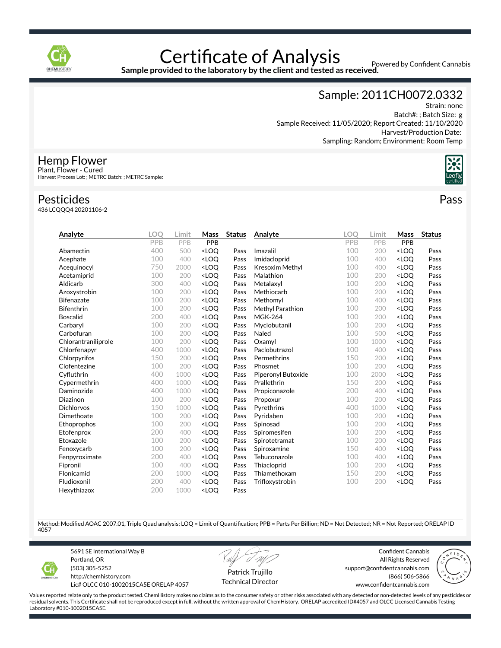

Sample provided to the laboratory by the client and tested as received.<br>Sample provided to the laboratory by the client and tested as received.

Sample: 2011CH0072.0332

Strain: none Batch#: ; Batch Size: g Sample Received: 11/05/2020; Report Created: 11/10/2020 Harvest/Production Date: Sampling: Random; Environment: Room Temp



Hemp Flower

Plant, Flower - Cured Harvest Process Lot: ; METRC Batch: ; METRC Sample:

#### Pesticides

436 LCQQQ4 20201106-2

| Analyte             | <b>LOO</b> | Limit | Mass                                                                                                                          | <b>Status</b> | Analyte            | <b>LOO</b> | Limit | Mass                             | <b>Status</b> |
|---------------------|------------|-------|-------------------------------------------------------------------------------------------------------------------------------|---------------|--------------------|------------|-------|----------------------------------|---------------|
|                     | PPB        | PPB   | PPB                                                                                                                           |               |                    | PPB        | PPB   | PPB                              |               |
| Abamectin           | 400        | 500   | <loo< td=""><td>Pass</td><td>Imazalil</td><td>100</td><td>200</td><td><loo< td=""><td>Pass</td></loo<></td></loo<>            | Pass          | Imazalil           | 100        | 200   | <loo< td=""><td>Pass</td></loo<> | Pass          |
| Acephate            | 100        | 400   | <loq< td=""><td>Pass</td><td>Imidacloprid</td><td>100</td><td>400</td><td><loq< td=""><td>Pass</td></loq<></td></loq<>        | Pass          | Imidacloprid       | 100        | 400   | <loq< td=""><td>Pass</td></loq<> | Pass          |
| Acequinocyl         | 750        | 2000  | <loo< td=""><td>Pass</td><td>Kresoxim Methyl</td><td>100</td><td>400</td><td><loo< td=""><td>Pass</td></loo<></td></loo<>     | Pass          | Kresoxim Methyl    | 100        | 400   | <loo< td=""><td>Pass</td></loo<> | Pass          |
| Acetamiprid         | 100        | 200   | <loq< td=""><td>Pass</td><td>Malathion</td><td>100</td><td>200</td><td><loq< td=""><td>Pass</td></loq<></td></loq<>           | Pass          | Malathion          | 100        | 200   | <loq< td=""><td>Pass</td></loq<> | Pass          |
| Aldicarb            | 300        | 400   | <loq< td=""><td>Pass</td><td>Metalaxyl</td><td>100</td><td>200</td><td><loq< td=""><td>Pass</td></loq<></td></loq<>           | Pass          | Metalaxyl          | 100        | 200   | <loq< td=""><td>Pass</td></loq<> | Pass          |
| Azoxystrobin        | 100        | 200   | <loq< td=""><td>Pass</td><td>Methiocarb</td><td>100</td><td>200</td><td><loq< td=""><td>Pass</td></loq<></td></loq<>          | Pass          | Methiocarb         | 100        | 200   | <loq< td=""><td>Pass</td></loq<> | Pass          |
| <b>Bifenazate</b>   | 100        | 200   | <loo< td=""><td>Pass</td><td>Methomyl</td><td>100</td><td>400</td><td><loq< td=""><td>Pass</td></loq<></td></loo<>            | Pass          | Methomyl           | 100        | 400   | <loq< td=""><td>Pass</td></loq<> | Pass          |
| <b>Bifenthrin</b>   | 100        | 200   | <loq< td=""><td>Pass</td><td>Methyl Parathion</td><td>100</td><td>200</td><td><loq< td=""><td>Pass</td></loq<></td></loq<>    | Pass          | Methyl Parathion   | 100        | 200   | <loq< td=""><td>Pass</td></loq<> | Pass          |
| <b>Boscalid</b>     | 200        | 400   | <loq< td=""><td>Pass</td><td><b>MGK-264</b></td><td>100</td><td>200</td><td><loq< td=""><td>Pass</td></loq<></td></loq<>      | Pass          | <b>MGK-264</b>     | 100        | 200   | <loq< td=""><td>Pass</td></loq<> | Pass          |
| Carbaryl            | 100        | 200   | <loq< td=""><td>Pass</td><td>Myclobutanil</td><td>100</td><td>200</td><td><loq< td=""><td>Pass</td></loq<></td></loq<>        | Pass          | Myclobutanil       | 100        | 200   | <loq< td=""><td>Pass</td></loq<> | Pass          |
| Carbofuran          | 100        | 200   | <loq< td=""><td>Pass</td><td>Naled</td><td>100</td><td>500</td><td><loq< td=""><td>Pass</td></loq<></td></loq<>               | Pass          | Naled              | 100        | 500   | <loq< td=""><td>Pass</td></loq<> | Pass          |
| Chlorantraniliprole | 100        | 200   | <loq< td=""><td>Pass</td><td>Oxamyl</td><td>100</td><td>1000</td><td><loq< td=""><td>Pass</td></loq<></td></loq<>             | Pass          | Oxamyl             | 100        | 1000  | <loq< td=""><td>Pass</td></loq<> | Pass          |
| Chlorfenapyr        | 400        | 1000  | <loq< td=""><td>Pass</td><td>Paclobutrazol</td><td>100</td><td>400</td><td><loq< td=""><td>Pass</td></loq<></td></loq<>       | Pass          | Paclobutrazol      | 100        | 400   | <loq< td=""><td>Pass</td></loq<> | Pass          |
| Chlorpyrifos        | 150        | 200   | <loo< td=""><td>Pass</td><td>Permethrins</td><td>150</td><td>200</td><td><loq< td=""><td>Pass</td></loq<></td></loo<>         | Pass          | Permethrins        | 150        | 200   | <loq< td=""><td>Pass</td></loq<> | Pass          |
| Clofentezine        | 100        | 200   | <loq< td=""><td>Pass</td><td>Phosmet</td><td>100</td><td>200</td><td><loq< td=""><td>Pass</td></loq<></td></loq<>             | Pass          | Phosmet            | 100        | 200   | <loq< td=""><td>Pass</td></loq<> | Pass          |
| Cyfluthrin          | 400        | 1000  | <loq< td=""><td>Pass</td><td>Piperonyl Butoxide</td><td>100</td><td>2000</td><td><loq< td=""><td>Pass</td></loq<></td></loq<> | Pass          | Piperonyl Butoxide | 100        | 2000  | <loq< td=""><td>Pass</td></loq<> | Pass          |
| Cypermethrin        | 400        | 1000  | <loq< td=""><td>Pass</td><td>Prallethrin</td><td>150</td><td>200</td><td><loq< td=""><td>Pass</td></loq<></td></loq<>         | Pass          | Prallethrin        | 150        | 200   | <loq< td=""><td>Pass</td></loq<> | Pass          |
| Daminozide          | 400        | 1000  | <loq< td=""><td>Pass</td><td>Propiconazole</td><td>200</td><td>400</td><td><loq< td=""><td>Pass</td></loq<></td></loq<>       | Pass          | Propiconazole      | 200        | 400   | <loq< td=""><td>Pass</td></loq<> | Pass          |
| Diazinon            | 100        | 200   | <loq< td=""><td>Pass</td><td>Propoxur</td><td>100</td><td>200</td><td><loq< td=""><td>Pass</td></loq<></td></loq<>            | Pass          | Propoxur           | 100        | 200   | <loq< td=""><td>Pass</td></loq<> | Pass          |
| <b>Dichlorvos</b>   | 150        | 1000  | <loq< td=""><td>Pass</td><td>Pyrethrins</td><td>400</td><td>1000</td><td><loq< td=""><td>Pass</td></loq<></td></loq<>         | Pass          | Pyrethrins         | 400        | 1000  | <loq< td=""><td>Pass</td></loq<> | Pass          |
| Dimethoate          | 100        | 200   | <loo< td=""><td>Pass</td><td>Pyridaben</td><td>100</td><td>200</td><td><loq< td=""><td>Pass</td></loq<></td></loo<>           | Pass          | Pyridaben          | 100        | 200   | <loq< td=""><td>Pass</td></loq<> | Pass          |
| Ethoprophos         | 100        | 200   | <loq< td=""><td>Pass</td><td>Spinosad</td><td>100</td><td>200</td><td><loq< td=""><td>Pass</td></loq<></td></loq<>            | Pass          | Spinosad           | 100        | 200   | <loq< td=""><td>Pass</td></loq<> | Pass          |
| Etofenprox          | 200        | 400   | <loq< td=""><td>Pass</td><td>Spiromesifen</td><td>100</td><td>200</td><td><loq< td=""><td>Pass</td></loq<></td></loq<>        | Pass          | Spiromesifen       | 100        | 200   | <loq< td=""><td>Pass</td></loq<> | Pass          |
| Etoxazole           | 100        | 200   | <loq< td=""><td>Pass</td><td>Spirotetramat</td><td>100</td><td>200</td><td><loq< td=""><td>Pass</td></loq<></td></loq<>       | Pass          | Spirotetramat      | 100        | 200   | <loq< td=""><td>Pass</td></loq<> | Pass          |
| Fenoxycarb          | 100        | 200   | <loq< td=""><td>Pass</td><td>Spiroxamine</td><td>150</td><td>400</td><td><loq< td=""><td>Pass</td></loq<></td></loq<>         | Pass          | Spiroxamine        | 150        | 400   | <loq< td=""><td>Pass</td></loq<> | Pass          |
| Fenpyroximate       | 200        | 400   | <loo< td=""><td>Pass</td><td>Tebuconazole</td><td>100</td><td>400</td><td><loo< td=""><td>Pass</td></loo<></td></loo<>        | Pass          | Tebuconazole       | 100        | 400   | <loo< td=""><td>Pass</td></loo<> | Pass          |
| Fipronil            | 100        | 400   | <loq< td=""><td>Pass</td><td>Thiacloprid</td><td>100</td><td>200</td><td><loq< td=""><td>Pass</td></loq<></td></loq<>         | Pass          | Thiacloprid        | 100        | 200   | <loq< td=""><td>Pass</td></loq<> | Pass          |
| Flonicamid          | 200        | 1000  | <loq< td=""><td>Pass</td><td>Thiamethoxam</td><td>150</td><td>200</td><td><loq< td=""><td>Pass</td></loq<></td></loq<>        | Pass          | Thiamethoxam       | 150        | 200   | <loq< td=""><td>Pass</td></loq<> | Pass          |
| Fludioxonil         | 200        | 400   | <loq< td=""><td>Pass</td><td>Trifloxystrobin</td><td>100</td><td>200</td><td><loq< td=""><td>Pass</td></loq<></td></loq<>     | Pass          | Trifloxystrobin    | 100        | 200   | <loq< td=""><td>Pass</td></loq<> | Pass          |
| Hexythiazox         | 200        | 1000  | <loq< td=""><td>Pass</td><td></td><td></td><td></td><td></td><td></td></loq<>                                                 | Pass          |                    |            |       |                                  |               |

Method: Modified AOAC 2007.01, Triple Quad analysis; LOQ = Limit of Quantification; PPB = Parts Per Billion; ND = Not Detected; NR = Not Reported; ORELAP ID 4057



5691 SE International Way B Portland, OR (503) 305-5252 http://chemhistory.com

Lic# OLCC 010-1002015CA5E ORELAP 4057

Patrick Trujillo Technical Director

Confident Cannabis All Rights Reserved support@confidentcannabis.com (866) 506-5866 www.confidentcannabis.com



Values reported relate only to the product tested. ChemHistory makes no claims as to the consumer safety or other risks associated with any detected or non-detected levels of any pesticides or residual solvents. This Certificate shall not be reproduced except in full, without the written approval of ChemHistory. ORELAP accredited ID#4057 and OLCC Licensed Cannabis Testing Laboratory #010-1002015CA5E.